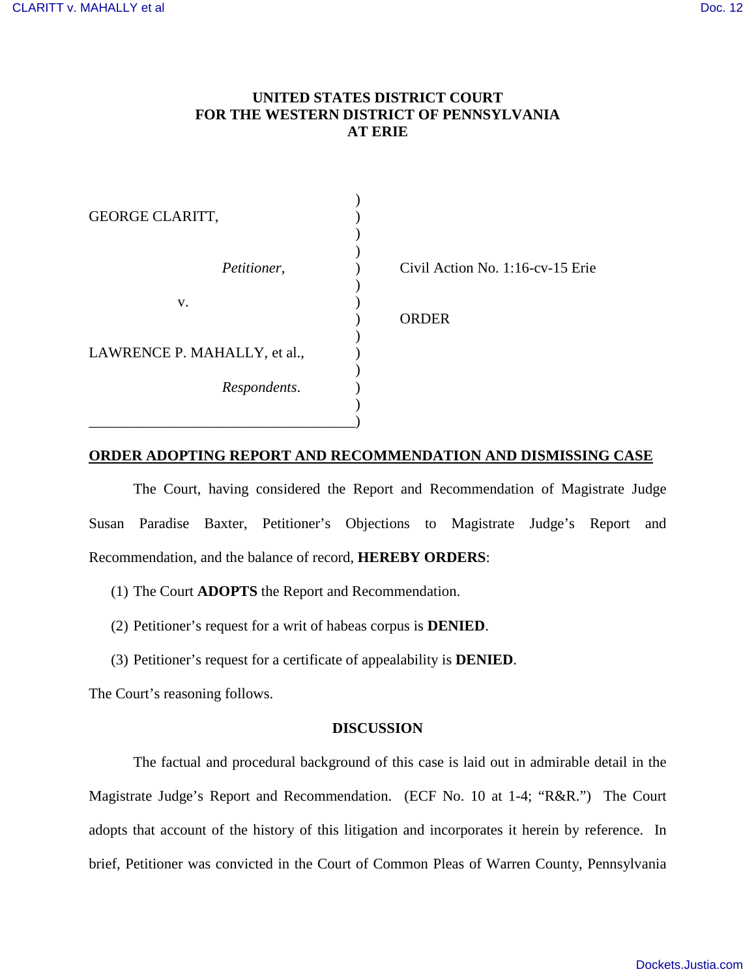# **UNITED STATES DISTRICT COURT FOR THE WESTERN DISTRICT OF PENNSYLVANIA AT ERIE**

| <b>GEORGE CLARITT,</b>       |                                  |
|------------------------------|----------------------------------|
| Petitioner,                  | Civil Action No. 1:16-cv-15 Erie |
| V.                           | <b>ORDER</b>                     |
| LAWRENCE P. MAHALLY, et al., |                                  |
| Respondents.                 |                                  |

## **ORDER ADOPTING REPORT AND RECOMMENDATION AND DISMISSING CASE**

The Court, having considered the Report and Recommendation of Magistrate Judge Susan Paradise Baxter, Petitioner's Objections to Magistrate Judge's Report and Recommendation, and the balance of record, **HEREBY ORDERS**:

- (1) The Court **ADOPTS** the Report and Recommendation.
- (2) Petitioner's request for a writ of habeas corpus is **DENIED**.
- (3) Petitioner's request for a certificate of appealability is **DENIED**.

The Court's reasoning follows.

## **DISCUSSION**

The factual and procedural background of this case is laid out in admirable detail in the Magistrate Judge's Report and Recommendation. (ECF No. 10 at 1-4; "R&R.") The Court adopts that account of the history of this litigation and incorporates it herein by reference. In brief, Petitioner was convicted in the Court of Common Pleas of Warren County, Pennsylvania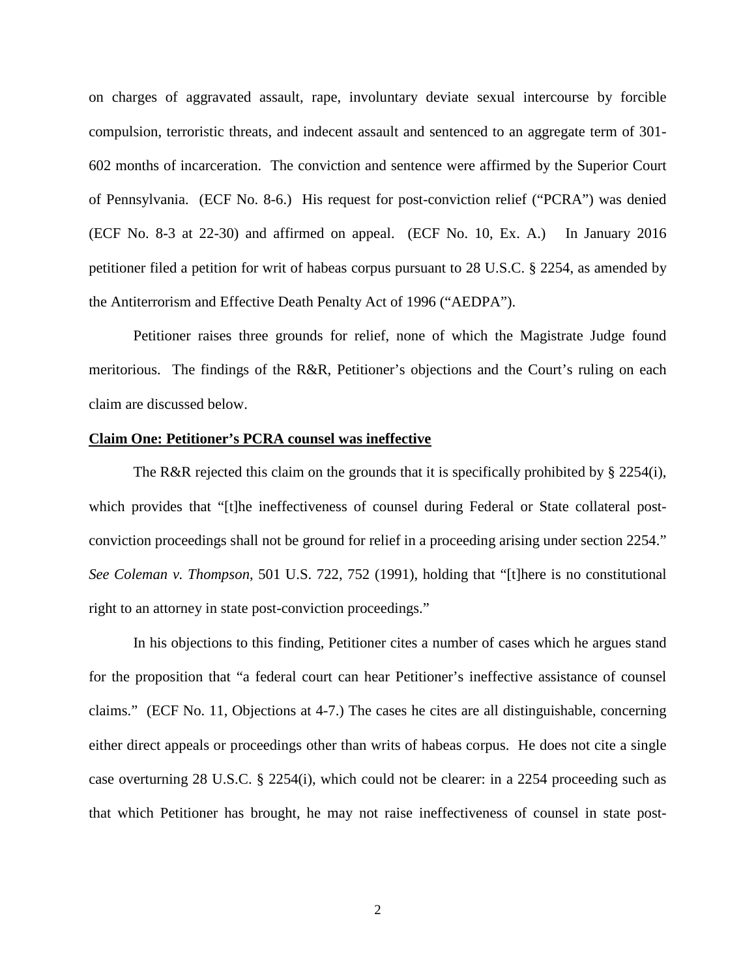on charges of aggravated assault, rape, involuntary deviate sexual intercourse by forcible compulsion, terroristic threats, and indecent assault and sentenced to an aggregate term of 301- 602 months of incarceration. The conviction and sentence were affirmed by the Superior Court of Pennsylvania. (ECF No. 8-6.) His request for post-conviction relief ("PCRA") was denied (ECF No. 8-3 at 22-30) and affirmed on appeal. (ECF No. 10, Ex. A.) In January 2016 petitioner filed a petition for writ of habeas corpus pursuant to 28 U.S.C. § 2254, as amended by the Antiterrorism and Effective Death Penalty Act of 1996 ("AEDPA").

Petitioner raises three grounds for relief, none of which the Magistrate Judge found meritorious. The findings of the R&R, Petitioner's objections and the Court's ruling on each claim are discussed below.

#### **Claim One: Petitioner's PCRA counsel was ineffective**

The R&R rejected this claim on the grounds that it is specifically prohibited by § 2254(i), which provides that "[t]he ineffectiveness of counsel during Federal or State collateral postconviction proceedings shall not be ground for relief in a proceeding arising under section 2254." *See Coleman v. Thompson*, 501 U.S. 722, 752 (1991), holding that "[t]here is no constitutional right to an attorney in state post-conviction proceedings."

In his objections to this finding, Petitioner cites a number of cases which he argues stand for the proposition that "a federal court can hear Petitioner's ineffective assistance of counsel claims." (ECF No. 11, Objections at 4-7.) The cases he cites are all distinguishable, concerning either direct appeals or proceedings other than writs of habeas corpus. He does not cite a single case overturning 28 U.S.C. § 2254(i), which could not be clearer: in a 2254 proceeding such as that which Petitioner has brought, he may not raise ineffectiveness of counsel in state post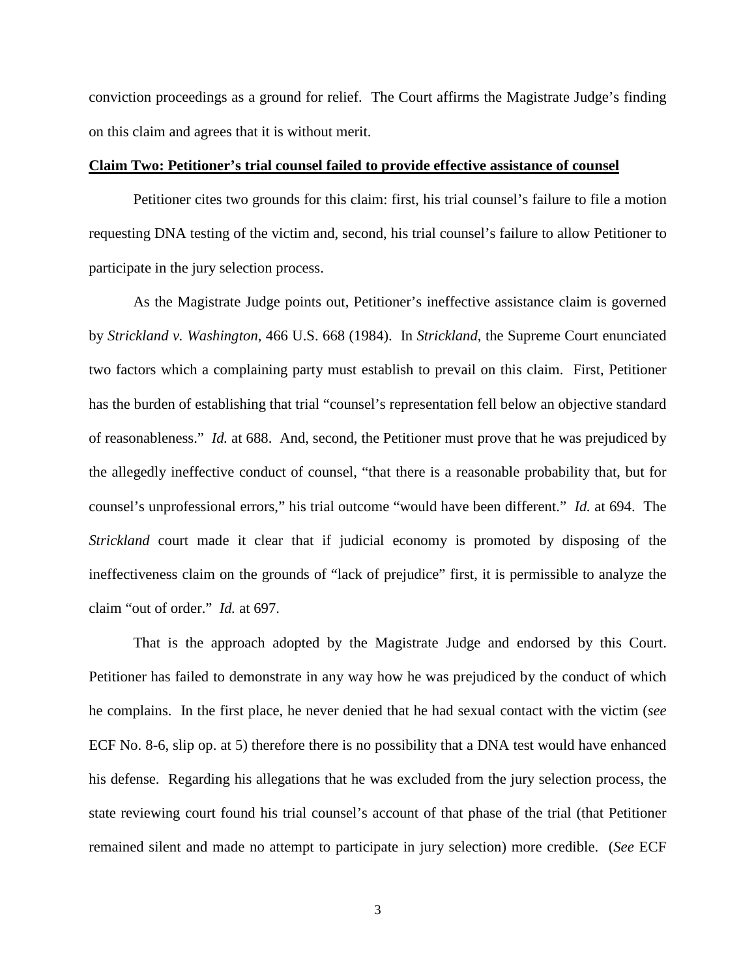conviction proceedings as a ground for relief. The Court affirms the Magistrate Judge's finding on this claim and agrees that it is without merit.

#### **Claim Two: Petitioner's trial counsel failed to provide effective assistance of counsel**

Petitioner cites two grounds for this claim: first, his trial counsel's failure to file a motion requesting DNA testing of the victim and, second, his trial counsel's failure to allow Petitioner to participate in the jury selection process.

As the Magistrate Judge points out, Petitioner's ineffective assistance claim is governed by *Strickland v. Washington*, 466 U.S. 668 (1984). In *Strickland*, the Supreme Court enunciated two factors which a complaining party must establish to prevail on this claim. First, Petitioner has the burden of establishing that trial "counsel's representation fell below an objective standard of reasonableness." *Id.* at 688. And, second, the Petitioner must prove that he was prejudiced by the allegedly ineffective conduct of counsel, "that there is a reasonable probability that, but for counsel's unprofessional errors," his trial outcome "would have been different." *Id.* at 694. The *Strickland* court made it clear that if judicial economy is promoted by disposing of the ineffectiveness claim on the grounds of "lack of prejudice" first, it is permissible to analyze the claim "out of order." *Id.* at 697.

That is the approach adopted by the Magistrate Judge and endorsed by this Court. Petitioner has failed to demonstrate in any way how he was prejudiced by the conduct of which he complains. In the first place, he never denied that he had sexual contact with the victim (*see*  ECF No. 8-6, slip op. at 5) therefore there is no possibility that a DNA test would have enhanced his defense. Regarding his allegations that he was excluded from the jury selection process, the state reviewing court found his trial counsel's account of that phase of the trial (that Petitioner remained silent and made no attempt to participate in jury selection) more credible. (*See* ECF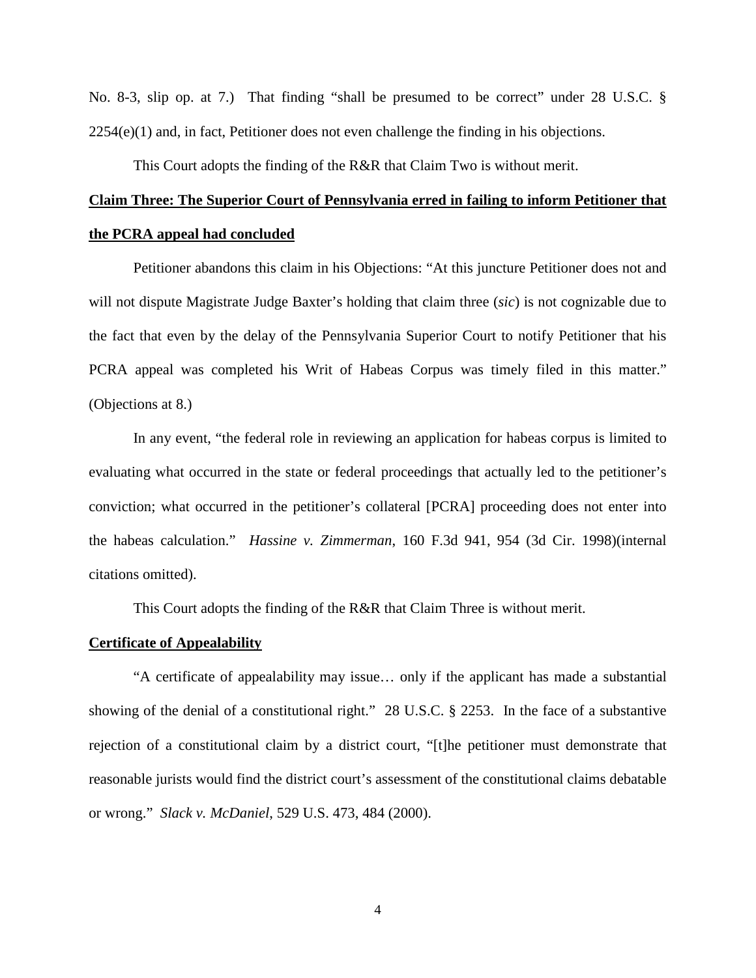No. 8-3, slip op. at 7.) That finding "shall be presumed to be correct" under 28 U.S.C. § 2254(e)(1) and, in fact, Petitioner does not even challenge the finding in his objections.

This Court adopts the finding of the R&R that Claim Two is without merit.

# **Claim Three: The Superior Court of Pennsylvania erred in failing to inform Petitioner that the PCRA appeal had concluded**

Petitioner abandons this claim in his Objections: "At this juncture Petitioner does not and will not dispute Magistrate Judge Baxter's holding that claim three (*sic*) is not cognizable due to the fact that even by the delay of the Pennsylvania Superior Court to notify Petitioner that his PCRA appeal was completed his Writ of Habeas Corpus was timely filed in this matter." (Objections at 8.)

In any event, "the federal role in reviewing an application for habeas corpus is limited to evaluating what occurred in the state or federal proceedings that actually led to the petitioner's conviction; what occurred in the petitioner's collateral [PCRA] proceeding does not enter into the habeas calculation." *Hassine v. Zimmerman*, 160 F.3d 941, 954 (3d Cir. 1998)(internal citations omitted).

This Court adopts the finding of the R&R that Claim Three is without merit.

#### **Certificate of Appealability**

"A certificate of appealability may issue… only if the applicant has made a substantial showing of the denial of a constitutional right." 28 U.S.C. § 2253. In the face of a substantive rejection of a constitutional claim by a district court, "[t]he petitioner must demonstrate that reasonable jurists would find the district court's assessment of the constitutional claims debatable or wrong." *Slack v. McDaniel*, 529 U.S. 473, 484 (2000).